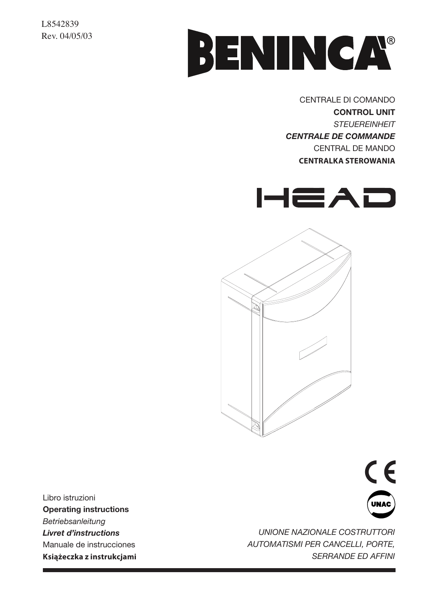### L8542839 Rev. 04/05/03



CENTRALE DI COMANDO **CONTROL UNIT**  *STEUEREINHEIT CENTRALE DE COMMANDE* CENTRAL DE MANDO **CENTRALKA STEROWANIA** 





Libro istruzioni **Operating instructions** *Betriebsanleitung Livret d'instructions* Manuale de instrucciones **Książeczka z instrukcjami**



*UNIONE NAZIONALE COSTRUTTORI AUTOMATISMI PER CANCELLI, PORTE, SERRANDE ED AFFINI*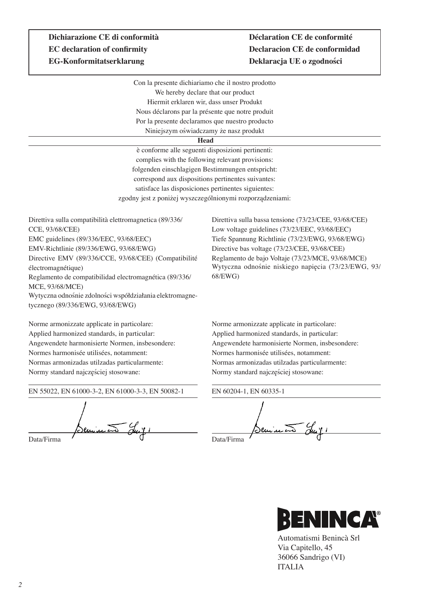# **EC declaration of confirmity Declaracion CE de conformidad EG-Konformitatserklarung Deklaracja UE o zgodności**

# **Dichiarazione CE di conformità Déclaration CE de conformité**

Con la presente dichiariamo che il nostro prodotto We hereby declare that our product Hiermit erklaren wir, dass unser Produkt Nous déclarons par la présente que notre produit Por la presente declaramos que nuestro producto Niniejszym oświadczamy że nasz produkt

#### **Head**

è conforme alle seguenti disposizioni pertinenti: complies with the following relevant provisions: folgenden einschlagigen Bestimmungen entspricht: correspond aux dispositions pertinentes suivantes: satisface las disposiciones pertinentes siguientes: zgodny jest z poniżej wyszczególnionymi rozporządzeniami:

Direttiva sulla compatibilità elettromagnetica (89/336/ CCE, 93/68/CEE) EMC guidelines (89/336/EEC, 93/68/EEC) EMV-Richtlinie (89/336/EWG, 93/68/EWG) Directive EMV (89/336/CCE, 93/68/CEE) (Compatibilité électromagnétique) Reglamento de compatibilidad electromagnética (89/336/ MCE, 93/68/MCE) Wytyczna odnośnie zdolności współdziałania elektromagnetycznego (89/336/EWG, 93/68/EWG)

Norme armonizzate applicate in particolare: Applied harmonized standards, in particular: Angewendete harmonisierte Normen, insbesondere: Normes harmonisée utilisées, notamment: Normas armonizadas utilzadas particularmente: Normy standard najczęściej stosowane:

EN 55022, EN 61000-3-2, EN 61000-3-3, EN 50082-1

Seminato Ju

Direttiva sulla bassa tensione (73/23/CEE, 93/68/CEE) Low voltage guidelines (73/23/EEC, 93/68/EEC) Tiefe Spannung Richtlinie (73/23/EWG, 93/68/EWG) Directive bas voltage (73/23/CEE, 93/68/CEE) Reglamento de bajo Voltaje (73/23/MCE, 93/68/MCE) Wytyczna odnośnie niskiego napięcia (73/23/EWG, 93/ 68/EWG)

Norme armonizzate applicate in particolare: Applied harmonized standards, in particular: Angewendete harmonisierte Normen, insbesondere: Normes harmonisée utilisées, notamment: Normas armonizadas utilzadas particularmente: Normy standard najczęściej stosowane:

EN 60204-1, EN 60335-1 <u> Semma</u> Data/Firma



Automatismi Benincà Srl Via Capitello, 45 36066 Sandrigo (VI) ITALIA

Data/Firma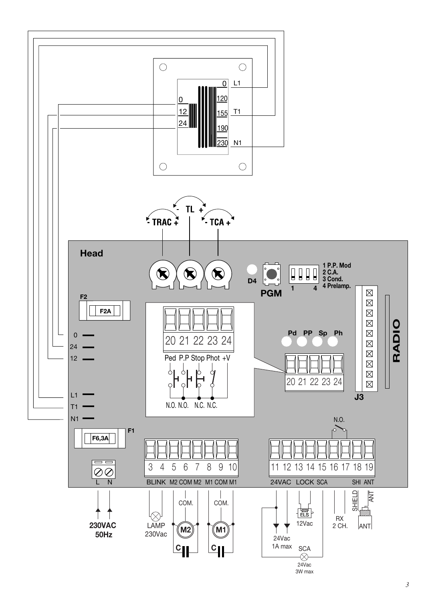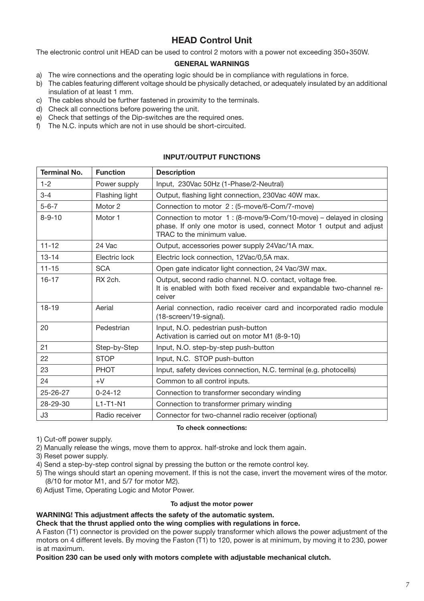## **HEAD Control Unit**

The electronic control unit HEAD can be used to control 2 motors with a power not exceeding 350+350W.

#### **GENERAL WARNINGS**

- a) The wire connections and the operating logic should be in compliance with regulations in force.
- b) The cables featuring different voltage should be physically detached, or adequately insulated by an additional insulation of at least 1 mm.
- c) The cables should be further fastened in proximity to the terminals.
- d) Check all connections before powering the unit.
- e) Check that settings of the Dip-switches are the required ones.
- f) The N.C. inputs which are not in use should be short-circuited.

#### **INPUT/OUTPUT FUNCTIONS**

| <b>Terminal No.</b> | <b>Function</b> | <b>Description</b>                                                                                                                                                      |
|---------------------|-----------------|-------------------------------------------------------------------------------------------------------------------------------------------------------------------------|
| $1 - 2$             | Power supply    | Input, 230Vac 50Hz (1-Phase/2-Neutral)                                                                                                                                  |
| $3 - 4$             | Flashing light  | Output, flashing light connection, 230Vac 40W max.                                                                                                                      |
| $5 - 6 - 7$         | Motor 2         | Connection to motor 2: (5-move/6-Com/7-move)                                                                                                                            |
| $8 - 9 - 10$        | Motor 1         | Connection to motor 1: (8-move/9-Com/10-move) – delayed in closing<br>phase. If only one motor is used, connect Motor 1 output and adjust<br>TRAC to the minimum value. |
| $11 - 12$           | 24 Vac          | Output, accessories power supply 24Vac/1A max.                                                                                                                          |
| $13 - 14$           | Electric lock   | Electric lock connection, 12Vac/0,5A max.                                                                                                                               |
| $11 - 15$           | <b>SCA</b>      | Open gate indicator light connection, 24 Vac/3W max.                                                                                                                    |
| $16 - 17$           | RX 2ch.         | Output, second radio channel. N.O. contact, voltage free.<br>It is enabled with both fixed receiver and expandable two-channel re-<br>ceiver                            |
| $18 - 19$           | Aerial          | Aerial connection, radio receiver card and incorporated radio module<br>(18-screen/19-signal).                                                                          |
| 20                  | Pedestrian      | Input, N.O. pedestrian push-button<br>Activation is carried out on motor M1 (8-9-10)                                                                                    |
| 21                  | Step-by-Step    | Input, N.O. step-by-step push-button                                                                                                                                    |
| 22                  | <b>STOP</b>     | Input, N.C. STOP push-button                                                                                                                                            |
| 23                  | PHOT            | Input, safety devices connection, N.C. terminal (e.g. photocells)                                                                                                       |
| 24                  | $+V$            | Common to all control inputs.                                                                                                                                           |
| 25-26-27            | $0 - 24 - 12$   | Connection to transformer secondary winding                                                                                                                             |
| 28-29-30            | $L1-T1-N1$      | Connection to transformer primary winding                                                                                                                               |
| J3                  | Radio receiver  | Connector for two-channel radio receiver (optional)                                                                                                                     |

#### **To check connections:**

1) Cut-off power supply.

2) Manually release the wings, move them to approx. half-stroke and lock them again.

3) Reset power supply.

4) Send a step-by-step control signal by pressing the button or the remote control key.

- 5) The wings should start an opening movement. If this is not the case, invert the movement wires of the motor. (8/10 for motor M1, and 5/7 for motor M2).
- 6) Adjust Time, Operating Logic and Motor Power.

#### **To adjust the motor power**

#### **WARNING! This adjustment affects the safety of the automatic system.**

**Check that the thrust applied onto the wing complies with regulations in force.**

A Faston (T1) connector is provided on the power supply transformer which allows the power adjustment of the motors on 4 different levels. By moving the Faston (T1) to 120, power is at minimum, by moving it to 230, power is at maximum.

**Position 230 can be used only with motors complete with adjustable mechanical clutch.**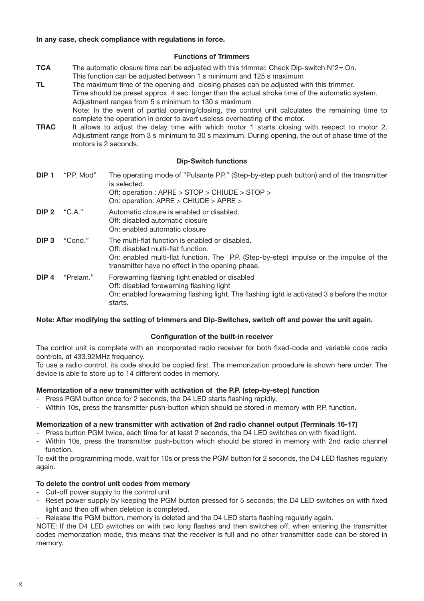#### **In any case, check compliance with regulations in force.**

#### **Functions of Trimmers**

- **TCA** The automatic closure time can be adjusted with this trimmer. Check Dip-switch N°2= On. This function can be adjusted between 1 s minimum and 125 s maximum
- **TL** The maximum time of the opening and closing phases can be adjusted with this trimmer. Time should be preset approx. 4 sec. longer than the actual stroke time of the automatic system. Adjustment ranges from 5 s minimum to 130 s maximum Note: In the event of partial opening/closing, the control unit calculates the remaining time to complete the operation in order to avert useless overheating of the motor.
- **TRAC** It allows to adjust the delay time with which motor 1 starts closing with respect to motor 2. Adjustment range from 3 s minimum to 30 s maximum. During opening, the out of phase time of the motors is 2 seconds.

#### **Dip-Switch functions**

| DIP <sub>1</sub> | "P.P. Mod" | The operating mode of "Pulsante P.P." (Step-by-step push button) and of the transmitter<br>is selected.<br>Off: operation : APRE > STOP > CHIUDE > STOP ><br>On: operation: APRE > CHIUDE > APRE >                                  |
|------------------|------------|-------------------------------------------------------------------------------------------------------------------------------------------------------------------------------------------------------------------------------------|
| $DIP2$ "C.A."    |            | Automatic closure is enabled or disabled.<br>Off: disabled automatic closure<br>On: enabled automatic closure                                                                                                                       |
| DIP <sub>3</sub> | "Cond."    | The multi-flat function is enabled or disabled.<br>Off: disabled multi-flat function.<br>On: enabled multi-flat function. The P.P. (Step-by-step) impulse or the impulse of the<br>transmitter have no effect in the opening phase. |
| DIP <sub>4</sub> | "Prelam."  | Forewarning flashing light enabled or disabled<br>Off: disabled forewarning flashing light<br>On: enabled forewarning flashing light. The flashing light is activated 3 s before the motor<br>starts.                               |

#### **Note: After modifying the setting of trimmers and Dip-Switches, switch off and power the unit again.**

#### **Configuration of the built-in receiver**

The control unit is complete with an incorporated radio receiver for both fixed-code and variable code radio controls, at 433.92MHz frequency.

To use a radio control, its code should be copied first. The memorization procedure is shown here under. The device is able to store up to 14 different codes in memory.

#### **Memorization of a new transmitter with activation of the P.P. (step-by-step) function**

- Press PGM button once for 2 seconds, the D4 LED starts flashing rapidly.
- Within 10s, press the transmitter push-button which should be stored in memory with P.P. function.

#### **Memorization of a new transmitter with activation of 2nd radio channel output (Terminals 16-17)**

- Press button PGM twice, each time for at least 2 seconds, the D4 LED switches on with fixed light.

- Within 10s, press the transmitter push-button which should be stored in memory with 2nd radio channel function.

To exit the programming mode, wait for 10s or press the PGM button for 2 seconds, the D4 LED flashes regularly again.

#### **To delete the control unit codes from memory**

- Cut-off power supply to the control unit
- Reset power supply by keeping the PGM button pressed for 5 seconds; the D4 LED switches on with fixed light and then off when deletion is completed.
- Release the PGM button, memory is deleted and the D4 LED starts flashing regularly again.

NOTE: If the D4 LED switches on with two long flashes and then switches off, when entering the transmitter codes memorization mode, this means that the receiver is full and no other transmitter code can be stored in memory.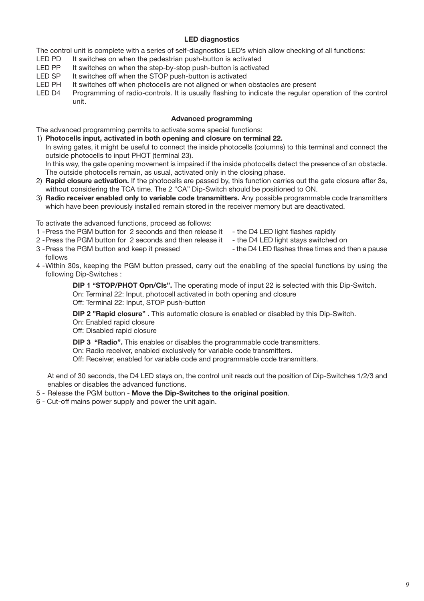#### **LED diagnostics**

The control unit is complete with a series of self-diagnostics LED's which allow checking of all functions:

- LED PD It switches on when the pedestrian push-button is activated<br>LED PP It switches on when the step-by-stop push-button is activate
- LED PP It switches on when the step-by-stop push-button is activated<br>LED SP It switches off when the STOP push-button is activated
- LED SP It switches off when the STOP push-button is activated<br>LED PH It switches off when photocells are not aligned or when
- LED PH It switches off when photocells are not aligned or when obstacles are present<br>LED D4 Programming of radio-controls. It is usually flashing to indicate the regular or
- Programming of radio-controls. It is usually flashing to indicate the regular operation of the control unit.

#### **Advanced programming**

The advanced programming permits to activate some special functions:

- 1) **Photocells input, activated in both opening and closure on terminal 22.** In swing gates, it might be useful to connect the inside photocells (columns) to this terminal and connect the outside photocells to input PHOT (terminal 23). In this way, the gate opening movement is impaired if the inside photocells detect the presence of an obstacle. The outside photocells remain, as usual, activated only in the closing phase.
- 2) **Rapid closure activation.** If the photocells are passed by, this function carries out the gate closure after 3s, without considering the TCA time. The 2 "CA" Dip-Switch should be positioned to ON.
- 3) **Radio receiver enabled only to variable code transmitters.** Any possible programmable code transmitters which have been previously installed remain stored in the receiver memory but are deactivated.

To activate the advanced functions, proceed as follows:

- 1 -Press the PGM button for 2 seconds and then release it the D4 LED light flashes rapidly
- 
- 
- 2 Press the PGM button for 2 seconds and then release it the D4 LED light stays switched on 3 Press the PGM button and keep it pressed the D4 LED flashes three times and in - the D4 LED flashes three times and then a pause follows
- 4 -Within 30s, keeping the PGM button pressed, carry out the enabling of the special functions by using the following Dip-Switches :

**DIP 1 "STOP/PHOT Opn/Cls".** The operating mode of input 22 is selected with this Dip-Switch. On: Terminal 22: Input, photocell activated in both opening and closure Off: Terminal 22: Input, STOP push-button

**DIP 2 "Rapid closure" .** This automatic closure is enabled or disabled by this Dip-Switch.

On: Enabled rapid closure

Off: Disabled rapid closure

**DIP 3 "Radio".** This enables or disables the programmable code transmitters.

On: Radio receiver, enabled exclusively for variable code transmitters.

Off: Receiver, enabled for variable code and programmable code transmitters.

At end of 30 seconds, the D4 LED stays on, the control unit reads out the position of Dip-Switches 1/2/3 and enables or disables the advanced functions.

- 5 Release the PGM button **Move the Dip-Switches to the original position**.
- 6 Cut-off mains power supply and power the unit again.